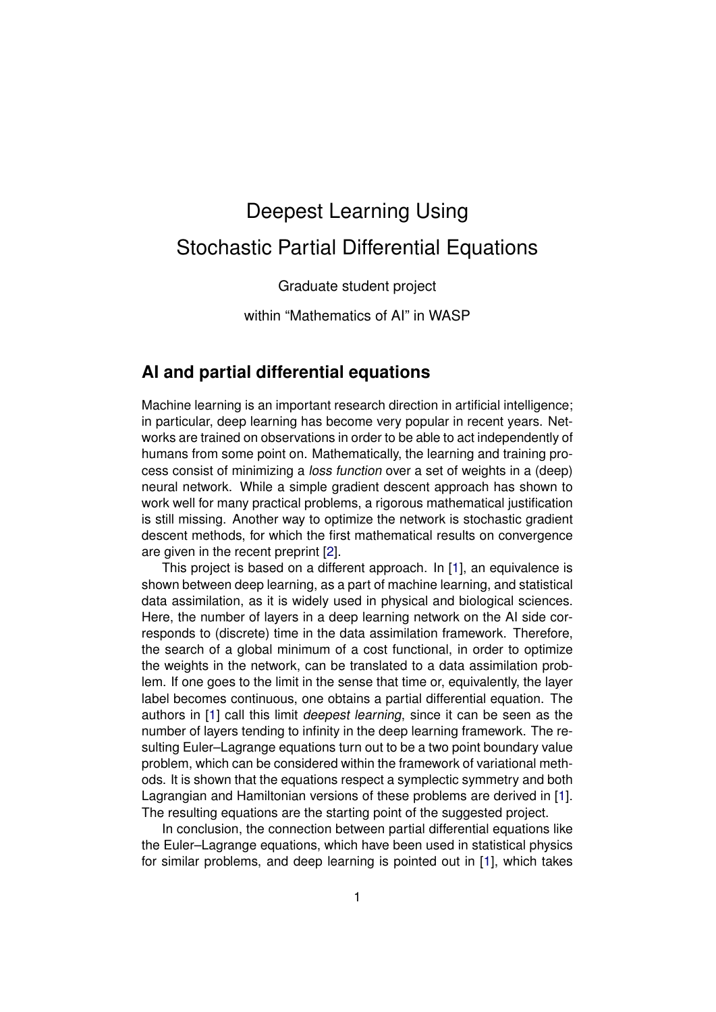## Deepest Learning Using Stochastic Partial Differential Equations

Graduate student project

within "Mathematics of AI" in WASP

## **AI and partial differential equations**

Machine learning is an important research direction in artificial intelligence; in particular, deep learning has become very popular in recent years. Networks are trained on observations in order to be able to act independently of humans from some point on. Mathematically, the learning and training process consist of minimizing a loss function over a set of weights in a (deep) neural network. While a simple gradient descent approach has shown to work well for many practical problems, a rigorous mathematical justification is still missing. Another way to optimize the network is stochastic gradient descent methods, for which the first mathematical results on convergence are given in the recent preprint [\[2\]](#page-2-0).

This project is based on a different approach. In [\[1\]](#page-2-1), an equivalence is shown between deep learning, as a part of machine learning, and statistical data assimilation, as it is widely used in physical and biological sciences. Here, the number of layers in a deep learning network on the AI side corresponds to (discrete) time in the data assimilation framework. Therefore, the search of a global minimum of a cost functional, in order to optimize the weights in the network, can be translated to a data assimilation problem. If one goes to the limit in the sense that time or, equivalently, the layer label becomes continuous, one obtains a partial differential equation. The authors in [\[1\]](#page-2-1) call this limit deepest learning, since it can be seen as the number of layers tending to infinity in the deep learning framework. The resulting Euler–Lagrange equations turn out to be a two point boundary value problem, which can be considered within the framework of variational methods. It is shown that the equations respect a symplectic symmetry and both Lagrangian and Hamiltonian versions of these problems are derived in [\[1\]](#page-2-1). The resulting equations are the starting point of the suggested project.

In conclusion, the connection between partial differential equations like the Euler–Lagrange equations, which have been used in statistical physics for similar problems, and deep learning is pointed out in [\[1\]](#page-2-1), which takes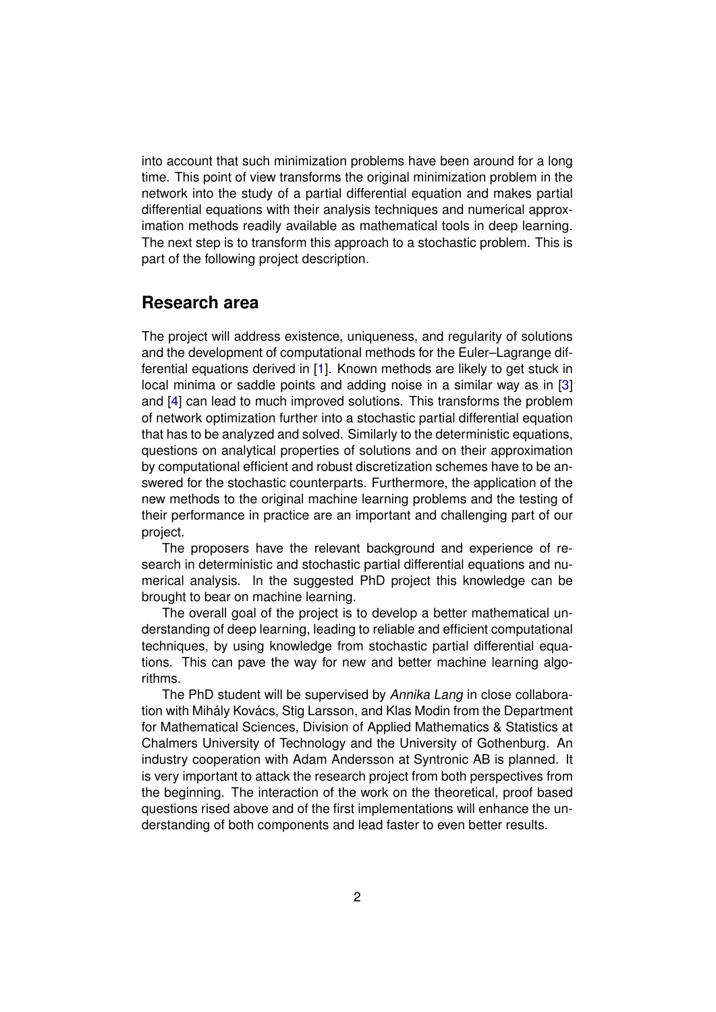into account that such minimization problems have been around for a long time. This point of view transforms the original minimization problem in the network into the study of a partial differential equation and makes partial differential equations with their analysis techniques and numerical approximation methods readily available as mathematical tools in deep learning. The next step is to transform this approach to a stochastic problem. This is part of the following project description.

## **Research area**

The project will address existence, uniqueness, and regularity of solutions and the development of computational methods for the Euler–Lagrange differential equations derived in [\[1\]](#page-2-1). Known methods are likely to get stuck in local minima or saddle points and adding noise in a similar way as in [\[3\]](#page-2-2) and [\[4\]](#page-2-3) can lead to much improved solutions. This transforms the problem of network optimization further into a stochastic partial differential equation that has to be analyzed and solved. Similarly to the deterministic equations, questions on analytical properties of solutions and on their approximation by computational efficient and robust discretization schemes have to be answered for the stochastic counterparts. Furthermore, the application of the new methods to the original machine learning problems and the testing of their performance in practice are an important and challenging part of our project.

The proposers have the relevant background and experience of research in deterministic and stochastic partial differential equations and numerical analysis. In the suggested PhD project this knowledge can be brought to bear on machine learning.

The overall goal of the project is to develop a better mathematical understanding of deep learning, leading to reliable and efficient computational techniques, by using knowledge from stochastic partial differential equations. This can pave the way for new and better machine learning algorithms.

The PhD student will be supervised by Annika Lang in close collaboration with Mihály Kovács, Stig Larsson, and Klas Modin from the Department for Mathematical Sciences, Division of Applied Mathematics & Statistics at Chalmers University of Technology and the University of Gothenburg. An industry cooperation with Adam Andersson at Syntronic AB is planned. It is very important to attack the research project from both perspectives from the beginning. The interaction of the work on the theoretical, proof based questions rised above and of the first implementations will enhance the understanding of both components and lead faster to even better results.